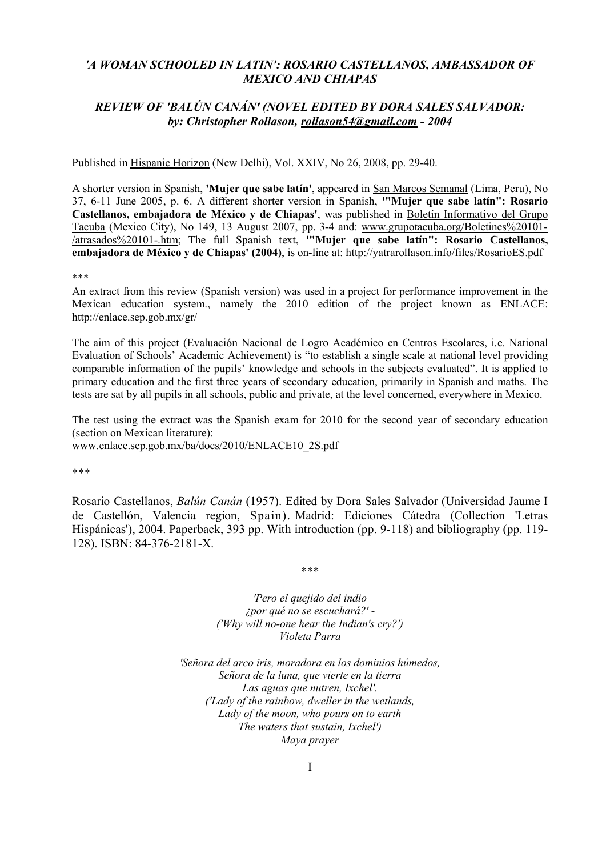## *'A WOMAN SCHOOLED IN LATIN': ROSARIO CASTELLANOS, AMBASSADOR OF MEXICO AND CHIAPAS*

# *REVIEW OF 'BALÚN CANÁN' (NOVEL EDITED BY DORA SALES SALVADOR: by: Christopher Rollason, [rollason54@gmail.com](mailto:rollason54@gmail.com) - 2004*

Published in Hispanic Horizon (New Delhi), Vol. XXIV, No 26, 2008, pp. 29-40.

A shorter version in Spanish, **'Mujer que sabe latín'**, appeared in San Marcos Semanal (Lima, Peru), No 37, 6-11 June 2005, p. 6. A different shorter version in Spanish, **'"Mujer que sabe latín": Rosario Castellanos, embajadora de México y de Chiapas'**, was published in Boletín Informativo del Grupo Tacuba (Mexico City), No 149, 13 August 2007, pp. 3-4 and: [www.grupotacuba.org/Boletines%20101-](http://www.grupotacuba.org/Boletines%20101-/atrasados%20101-.htm) [/atrasados%20101-.htm;](http://www.grupotacuba.org/Boletines%20101-/atrasados%20101-.htm) The full Spanish text, **'"Mujer que sabe latín": Rosario Castellanos, embajadora de México y de Chiapas' (2004)**, is on-line at:<http://yatrarollason.info/files/RosarioES.pdf>

#### \*\*\*

An extract from this review (Spanish version) was used in a project for performance improvement in the Mexican education system., namely the 2010 edition of the project known as ENLACE: http://enlace.sep.gob.mx/gr/

The aim of this project (Evaluación Nacional de Logro Académico en Centros Escolares, i.e. National Evaluation of Schools' Academic Achievement) is "to establish a single scale at national level providing comparable information of the pupils' knowledge and schools in the subjects evaluated". It is applied to primary education and the first three years of secondary education, primarily in Spanish and maths. The tests are sat by all pupils in all schools, public and private, at the level concerned, everywhere in Mexico.

The test using the extract was the Spanish exam for 2010 for the second year of secondary education (section on Mexican literature):

www.enlace.sep.gob.mx/ba/docs/2010/ENLACE10\_2S.pdf

\*\*\*

Rosario Castellanos, *Balún Canán* (1957). Edited by Dora Sales Salvador (Universidad Jaume I de Castellón, Valencia region, Spain). Madrid: Ediciones Cátedra (Collection 'Letras Hispánicas'), 2004. Paperback, 393 pp. With introduction (pp. 9-118) and bibliography (pp. 119- 128). ISBN: 84-376-2181-X.

\*\*\*

*'Pero el quejido del indio ¿por qué no se escuchará?' - ('Why will no-one hear the Indian's cry?') Violeta Parra*

*'Señora del arco iris, moradora en los dominios húmedos, Señora de la luna, que vierte en la tierra Las aguas que nutren, Ixchel'. ('Lady of the rainbow, dweller in the wetlands, Lady of the moon, who pours on to earth The waters that sustain, Ixchel') Maya prayer*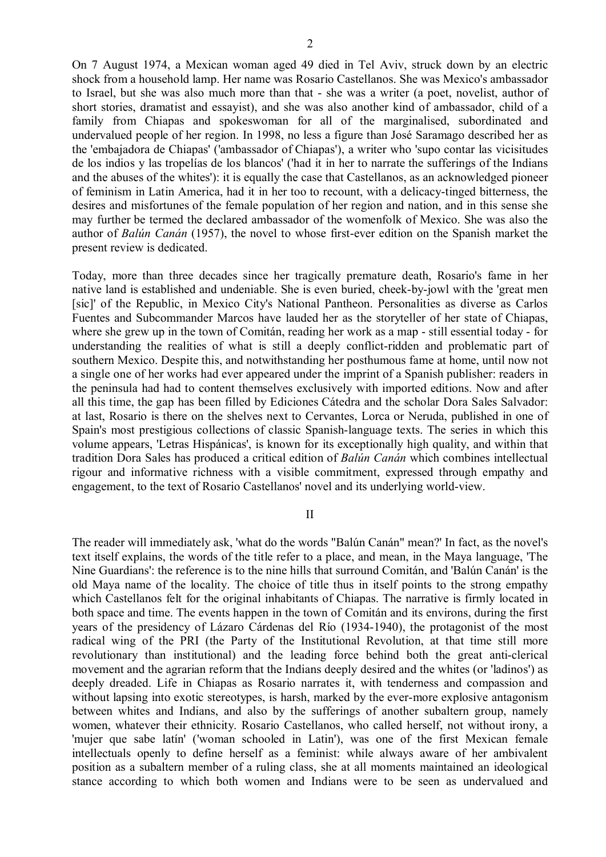On 7 August 1974, a Mexican woman aged 49 died in Tel Aviv, struck down by an electric shock from a household lamp. Her name was Rosario Castellanos. She was Mexico's ambassador to Israel, but she was also much more than that - she was a writer (a poet, novelist, author of short stories, dramatist and essayist), and she was also another kind of ambassador, child of a family from Chiapas and spokeswoman for all of the marginalised, subordinated and undervalued people of her region. In 1998, no less a figure than José Saramago described her as the 'embajadora de Chiapas' ('ambassador of Chiapas'), a writer who 'supo contar las vicisitudes de los indios y las tropelías de los blancos' ('had it in her to narrate the sufferings of the Indians and the abuses of the whites'): it is equally the case that Castellanos, as an acknowledged pioneer of feminism in Latin America, had it in her too to recount, with a delicacy-tinged bitterness, the desires and misfortunes of the female population of her region and nation, and in this sense she may further be termed the declared ambassador of the womenfolk of Mexico. She was also the author of *Balún Canán* (1957), the novel to whose first-ever edition on the Spanish market the present review is dedicated.

Today, more than three decades since her tragically premature death, Rosario's fame in her native land is established and undeniable. She is even buried, cheek-by-jowl with the 'great men [sic]' of the Republic, in Mexico City's National Pantheon. Personalities as diverse as Carlos Fuentes and Subcommander Marcos have lauded her as the storyteller of her state of Chiapas, where she grew up in the town of Comitán, reading her work as a map - still essential today - for understanding the realities of what is still a deeply conflict-ridden and problematic part of southern Mexico. Despite this, and notwithstanding her posthumous fame at home, until now not a single one of her works had ever appeared under the imprint of a Spanish publisher: readers in the peninsula had had to content themselves exclusively with imported editions. Now and after all this time, the gap has been filled by Ediciones Cátedra and the scholar Dora Sales Salvador: at last, Rosario is there on the shelves next to Cervantes, Lorca or Neruda, published in one of Spain's most prestigious collections of classic Spanish-language texts. The series in which this volume appears, 'Letras Hispánicas', is known for its exceptionally high quality, and within that tradition Dora Sales has produced a critical edition of *Balún Canán* which combines intellectual rigour and informative richness with a visible commitment, expressed through empathy and engagement, to the text of Rosario Castellanos' novel and its underlying world-view.

II

The reader will immediately ask, 'what do the words "Balún Canán" mean?' In fact, as the novel's text itself explains, the words of the title refer to a place, and mean, in the Maya language, 'The Nine Guardians': the reference is to the nine hills that surround Comitán, and 'Balún Canán' is the old Maya name of the locality. The choice of title thus in itself points to the strong empathy which Castellanos felt for the original inhabitants of Chiapas. The narrative is firmly located in both space and time. The events happen in the town of Comitán and its environs, during the first years of the presidency of Lázaro Cárdenas del Río (1934-1940), the protagonist of the most radical wing of the PRI (the Party of the Institutional Revolution, at that time still more revolutionary than institutional) and the leading force behind both the great anti-clerical movement and the agrarian reform that the Indians deeply desired and the whites (or 'ladinos') as deeply dreaded. Life in Chiapas as Rosario narrates it, with tenderness and compassion and without lapsing into exotic stereotypes, is harsh, marked by the ever-more explosive antagonism between whites and Indians, and also by the sufferings of another subaltern group, namely women, whatever their ethnicity. Rosario Castellanos, who called herself, not without irony, a 'mujer que sabe latín' ('woman schooled in Latin'), was one of the first Mexican female intellectuals openly to define herself as a feminist: while always aware of her ambivalent position as a subaltern member of a ruling class, she at all moments maintained an ideological stance according to which both women and Indians were to be seen as undervalued and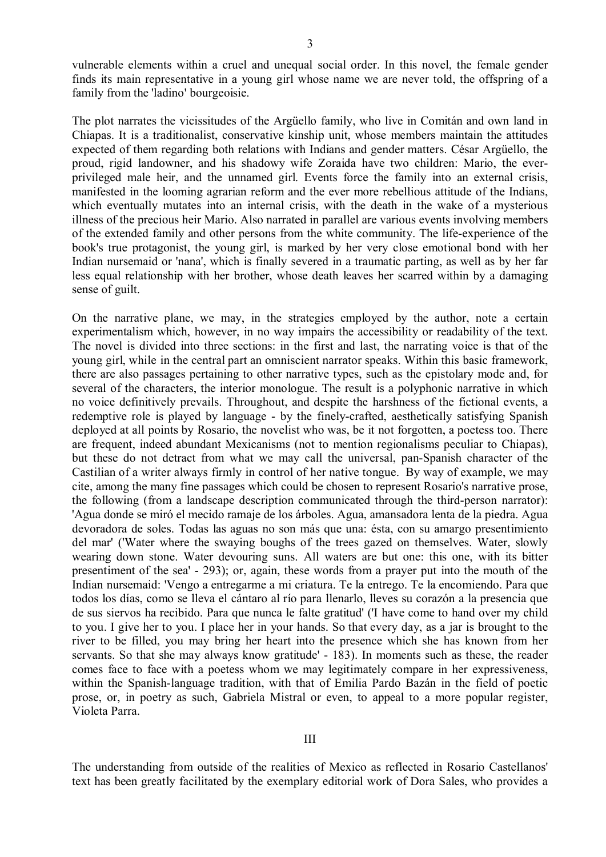vulnerable elements within a cruel and unequal social order. In this novel, the female gender finds its main representative in a young girl whose name we are never told, the offspring of a family from the 'ladino' bourgeoisie.

3

The plot narrates the vicissitudes of the Argüello family, who live in Comitán and own land in Chiapas. It is a traditionalist, conservative kinship unit, whose members maintain the attitudes expected of them regarding both relations with Indians and gender matters. César Argüello, the proud, rigid landowner, and his shadowy wife Zoraida have two children: Mario, the everprivileged male heir, and the unnamed girl. Events force the family into an external crisis, manifested in the looming agrarian reform and the ever more rebellious attitude of the Indians, which eventually mutates into an internal crisis, with the death in the wake of a mysterious illness of the precious heir Mario. Also narrated in parallel are various events involving members of the extended family and other persons from the white community. The life-experience of the book's true protagonist, the young girl, is marked by her very close emotional bond with her Indian nursemaid or 'nana', which is finally severed in a traumatic parting, as well as by her far less equal relationship with her brother, whose death leaves her scarred within by a damaging sense of guilt.

On the narrative plane, we may, in the strategies employed by the author, note a certain experimentalism which, however, in no way impairs the accessibility or readability of the text. The novel is divided into three sections: in the first and last, the narrating voice is that of the young girl, while in the central part an omniscient narrator speaks. Within this basic framework, there are also passages pertaining to other narrative types, such as the epistolary mode and, for several of the characters, the interior monologue. The result is a polyphonic narrative in which no voice definitively prevails. Throughout, and despite the harshness of the fictional events, a redemptive role is played by language - by the finely-crafted, aesthetically satisfying Spanish deployed at all points by Rosario, the novelist who was, be it not forgotten, a poetess too. There are frequent, indeed abundant Mexicanisms (not to mention regionalisms peculiar to Chiapas), but these do not detract from what we may call the universal, pan-Spanish character of the Castilian of a writer always firmly in control of her native tongue. By way of example, we may cite, among the many fine passages which could be chosen to represent Rosario's narrative prose, the following (from a landscape description communicated through the third-person narrator): 'Agua donde se miró el mecido ramaje de los árboles. Agua, amansadora lenta de la piedra. Agua devoradora de soles. Todas las aguas no son más que una: ésta, con su amargo presentimiento del mar' ('Water where the swaying boughs of the trees gazed on themselves. Water, slowly wearing down stone. Water devouring suns. All waters are but one: this one, with its bitter presentiment of the sea' - 293); or, again, these words from a prayer put into the mouth of the Indian nursemaid: 'Vengo a entregarme a mi criatura. Te la entrego. Te la encomiendo. Para que todos los días, como se lleva el cántaro al río para llenarlo, lleves su corazón a la presencia que de sus siervos ha recibido. Para que nunca le falte gratitud' ('I have come to hand over my child to you. I give her to you. I place her in your hands. So that every day, as a jar is brought to the river to be filled, you may bring her heart into the presence which she has known from her servants. So that she may always know gratitude' - 183). In moments such as these, the reader comes face to face with a poetess whom we may legitimately compare in her expressiveness, within the Spanish-language tradition, with that of Emilia Pardo Bazán in the field of poetic prose, or, in poetry as such, Gabriela Mistral or even, to appeal to a more popular register, Violeta Parra.

III

The understanding from outside of the realities of Mexico as reflected in Rosario Castellanos' text has been greatly facilitated by the exemplary editorial work of Dora Sales, who provides a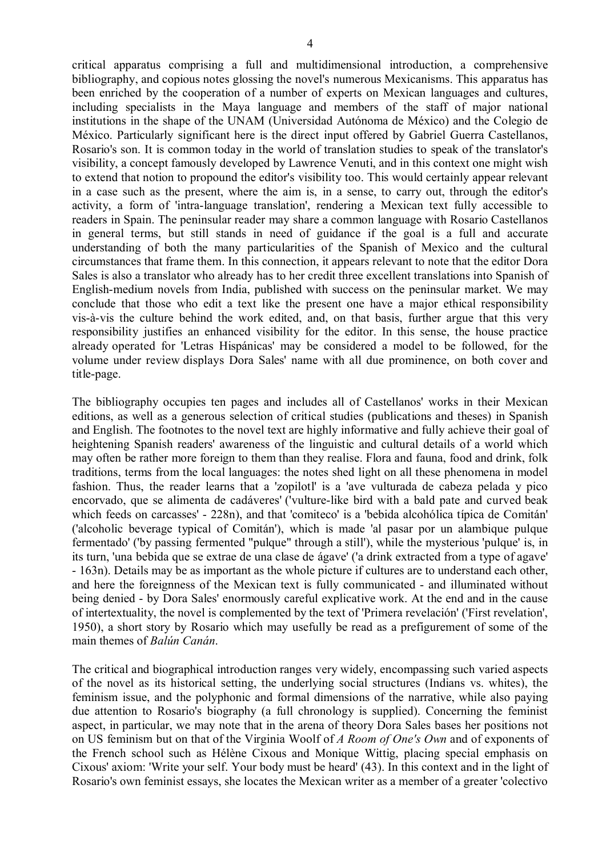critical apparatus comprising a full and multidimensional introduction, a comprehensive bibliography, and copious notes glossing the novel's numerous Mexicanisms. This apparatus has been enriched by the cooperation of a number of experts on Mexican languages and cultures, including specialists in the Maya language and members of the staff of major national institutions in the shape of the UNAM (Universidad Autónoma de México) and the Colegio de México. Particularly significant here is the direct input offered by Gabriel Guerra Castellanos, Rosario's son. It is common today in the world of translation studies to speak of the translator's visibility, a concept famously developed by Lawrence Venuti, and in this context one might wish to extend that notion to propound the editor's visibility too. This would certainly appear relevant in a case such as the present, where the aim is, in a sense, to carry out, through the editor's activity, a form of 'intra-language translation', rendering a Mexican text fully accessible to readers in Spain. The peninsular reader may share a common language with Rosario Castellanos in general terms, but still stands in need of guidance if the goal is a full and accurate understanding of both the many particularities of the Spanish of Mexico and the cultural circumstances that frame them. In this connection, it appears relevant to note that the editor Dora Sales is also a translator who already has to her credit three excellent translations into Spanish of English-medium novels from India, published with success on the peninsular market. We may conclude that those who edit a text like the present one have a major ethical responsibility vis-à-vis the culture behind the work edited, and, on that basis, further argue that this very responsibility justifies an enhanced visibility for the editor. In this sense, the house practice already operated for 'Letras Hispánicas' may be considered a model to be followed, for the volume under review displays Dora Sales' name with all due prominence, on both cover and title-page.

The bibliography occupies ten pages and includes all of Castellanos' works in their Mexican editions, as well as a generous selection of critical studies (publications and theses) in Spanish and English. The footnotes to the novel text are highly informative and fully achieve their goal of heightening Spanish readers' awareness of the linguistic and cultural details of a world which may often be rather more foreign to them than they realise. Flora and fauna, food and drink, folk traditions, terms from the local languages: the notes shed light on all these phenomena in model fashion. Thus, the reader learns that a 'zopilotl' is a 'ave vulturada de cabeza pelada y pico encorvado, que se alimenta de cadáveres' ('vulture-like bird with a bald pate and curved beak which feeds on carcasses' - 228n), and that 'comiteco' is a 'bebida alcohólica típica de Comitán' ('alcoholic beverage typical of Comitán'), which is made 'al pasar por un alambique pulque fermentado' ('by passing fermented "pulque" through a still'), while the mysterious 'pulque' is, in its turn, 'una bebida que se extrae de una clase de ágave' ('a drink extracted from a type of agave' - 163n). Details may be as important as the whole picture if cultures are to understand each other, and here the foreignness of the Mexican text is fully communicated - and illuminated without being denied - by Dora Sales' enormously careful explicative work. At the end and in the cause of intertextuality, the novel is complemented by the text of 'Primera revelación' ('First revelation', 1950), a short story by Rosario which may usefully be read as a prefigurement of some of the main themes of *Balún Canán*.

The critical and biographical introduction ranges very widely, encompassing such varied aspects of the novel as its historical setting, the underlying social structures (Indians vs. whites), the feminism issue, and the polyphonic and formal dimensions of the narrative, while also paying due attention to Rosario's biography (a full chronology is supplied). Concerning the feminist aspect, in particular, we may note that in the arena of theory Dora Sales bases her positions not on US feminism but on that of the Virginia Woolf of *A Room of One's Own* and of exponents of the French school such as Hélène Cixous and Monique Wittig, placing special emphasis on Cixous' axiom: 'Write your self. Your body must be heard' (43). In this context and in the light of Rosario's own feminist essays, she locates the Mexican writer as a member of a greater 'colectivo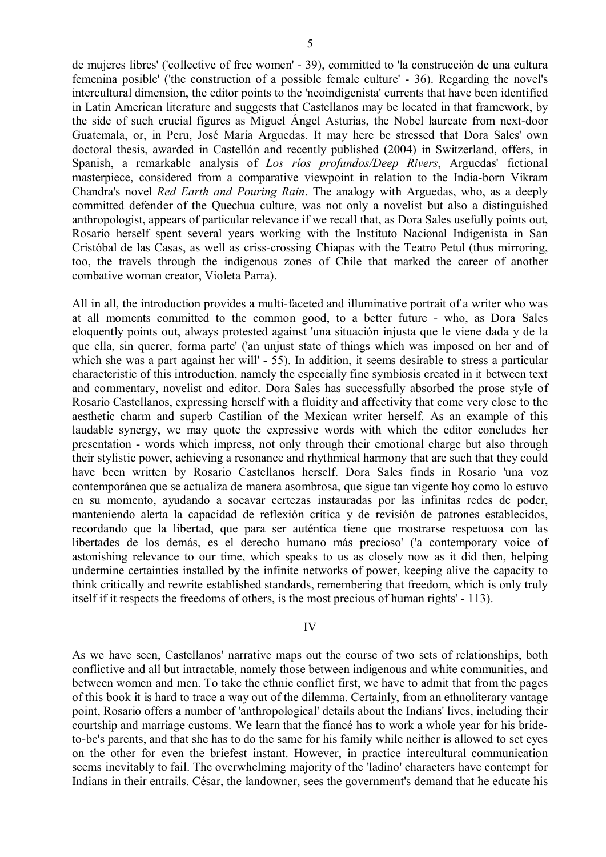de mujeres libres' ('collective of free women' - 39), committed to 'la construcción de una cultura femenina posible' ('the construction of a possible female culture' - 36). Regarding the novel's intercultural dimension, the editor points to the 'neoindigenista' currents that have been identified in Latin American literature and suggests that Castellanos may be located in that framework, by the side of such crucial figures as Miguel Ángel Asturias, the Nobel laureate from next-door Guatemala, or, in Peru, José María Arguedas. It may here be stressed that Dora Sales' own doctoral thesis, awarded in Castellón and recently published (2004) in Switzerland, offers, in Spanish, a remarkable analysis of *Los ríos profundos/Deep Rivers*, Arguedas' fictional masterpiece, considered from a comparative viewpoint in relation to the India-born Vikram Chandra's novel *Red Earth and Pouring Rain*. The analogy with Arguedas, who, as a deeply committed defender of the Quechua culture, was not only a novelist but also a distinguished anthropologist, appears of particular relevance if we recall that, as Dora Sales usefully points out, Rosario herself spent several years working with the Instituto Nacional Indigenista in San Cristóbal de las Casas, as well as criss-crossing Chiapas with the Teatro Petul (thus mirroring, too, the travels through the indigenous zones of Chile that marked the career of another combative woman creator, Violeta Parra).

All in all, the introduction provides a multi-faceted and illuminative portrait of a writer who was at all moments committed to the common good, to a better future - who, as Dora Sales eloquently points out, always protested against 'una situación injusta que le viene dada y de la que ella, sin querer, forma parte' ('an unjust state of things which was imposed on her and of which she was a part against her will' - 55). In addition, it seems desirable to stress a particular characteristic of this introduction, namely the especially fine symbiosis created in it between text and commentary, novelist and editor. Dora Sales has successfully absorbed the prose style of Rosario Castellanos, expressing herself with a fluidity and affectivity that come very close to the aesthetic charm and superb Castilian of the Mexican writer herself. As an example of this laudable synergy, we may quote the expressive words with which the editor concludes her presentation - words which impress, not only through their emotional charge but also through their stylistic power, achieving a resonance and rhythmical harmony that are such that they could have been written by Rosario Castellanos herself. Dora Sales finds in Rosario 'una voz contemporánea que se actualiza de manera asombrosa, que sigue tan vigente hoy como lo estuvo en su momento, ayudando a socavar certezas instauradas por las infinitas redes de poder, manteniendo alerta la capacidad de reflexión crítica y de revisión de patrones establecidos, recordando que la libertad, que para ser auténtica tiene que mostrarse respetuosa con las libertades de los demás, es el derecho humano más precioso' ('a contemporary voice of astonishing relevance to our time, which speaks to us as closely now as it did then, helping undermine certainties installed by the infinite networks of power, keeping alive the capacity to think critically and rewrite established standards, remembering that freedom, which is only truly itself if it respects the freedoms of others, is the most precious of human rights' - 113).

### IV

As we have seen, Castellanos' narrative maps out the course of two sets of relationships, both conflictive and all but intractable, namely those between indigenous and white communities, and between women and men. To take the ethnic conflict first, we have to admit that from the pages of this book it is hard to trace a way out of the dilemma. Certainly, from an ethnoliterary vantage point, Rosario offers a number of 'anthropological' details about the Indians' lives, including their courtship and marriage customs. We learn that the fiancé has to work a whole year for his brideto-be's parents, and that she has to do the same for his family while neither is allowed to set eyes on the other for even the briefest instant. However, in practice intercultural communication seems inevitably to fail. The overwhelming majority of the 'ladino' characters have contempt for Indians in their entrails. César, the landowner, sees the government's demand that he educate his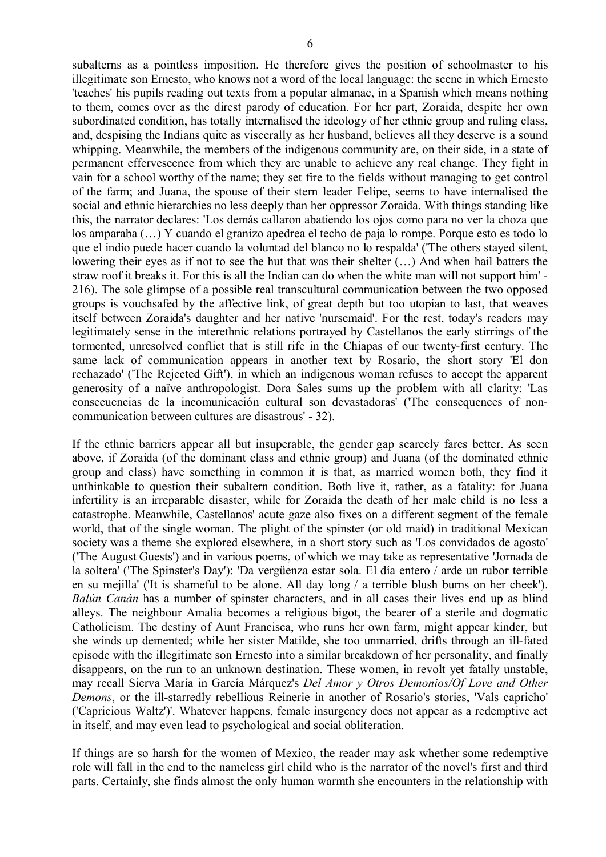subalterns as a pointless imposition. He therefore gives the position of schoolmaster to his illegitimate son Ernesto, who knows not a word of the local language: the scene in which Ernesto 'teaches' his pupils reading out texts from a popular almanac, in a Spanish which means nothing to them, comes over as the direst parody of education. For her part, Zoraida, despite her own subordinated condition, has totally internalised the ideology of her ethnic group and ruling class, and, despising the Indians quite as viscerally as her husband, believes all they deserve is a sound whipping. Meanwhile, the members of the indigenous community are, on their side, in a state of permanent effervescence from which they are unable to achieve any real change. They fight in vain for a school worthy of the name; they set fire to the fields without managing to get control of the farm; and Juana, the spouse of their stern leader Felipe, seems to have internalised the social and ethnic hierarchies no less deeply than her oppressor Zoraida. With things standing like this, the narrator declares: 'Los demás callaron abatiendo los ojos como para no ver la choza que los amparaba (…) Y cuando el granizo apedrea el techo de paja lo rompe. Porque esto es todo lo que el indio puede hacer cuando la voluntad del blanco no lo respalda' ('The others stayed silent, lowering their eyes as if not to see the hut that was their shelter (…) And when hail batters the straw roof it breaks it. For this is all the Indian can do when the white man will not support him' - 216). The sole glimpse of a possible real transcultural communication between the two opposed groups is vouchsafed by the affective link, of great depth but too utopian to last, that weaves itself between Zoraida's daughter and her native 'nursemaid'. For the rest, today's readers may legitimately sense in the interethnic relations portrayed by Castellanos the early stirrings of the tormented, unresolved conflict that is still rife in the Chiapas of our twenty-first century. The same lack of communication appears in another text by Rosario, the short story 'El don rechazado' ('The Rejected Gift'), in which an indigenous woman refuses to accept the apparent generosity of a naïve anthropologist. Dora Sales sums up the problem with all clarity: 'Las consecuencias de la incomunicación cultural son devastadoras' ('The consequences of noncommunication between cultures are disastrous' - 32).

If the ethnic barriers appear all but insuperable, the gender gap scarcely fares better. As seen above, if Zoraida (of the dominant class and ethnic group) and Juana (of the dominated ethnic group and class) have something in common it is that, as married women both, they find it unthinkable to question their subaltern condition. Both live it, rather, as a fatality: for Juana infertility is an irreparable disaster, while for Zoraida the death of her male child is no less a catastrophe. Meanwhile, Castellanos' acute gaze also fixes on a different segment of the female world, that of the single woman. The plight of the spinster (or old maid) in traditional Mexican society was a theme she explored elsewhere, in a short story such as 'Los convidados de agosto' ('The August Guests') and in various poems, of which we may take as representative 'Jornada de la soltera' ('The Spinster's Day'): 'Da vergüenza estar sola. El día entero / arde un rubor terrible en su mejilla' ('It is shameful to be alone. All day long / a terrible blush burns on her cheek'). *Balún Canán* has a number of spinster characters, and in all cases their lives end up as blind alleys. The neighbour Amalia becomes a religious bigot, the bearer of a sterile and dogmatic Catholicism. The destiny of Aunt Francisca, who runs her own farm, might appear kinder, but she winds up demented; while her sister Matilde, she too unmarried, drifts through an ill-fated episode with the illegitimate son Ernesto into a similar breakdown of her personality, and finally disappears, on the run to an unknown destination. These women, in revolt yet fatally unstable, may recall Sierva María in García Márquez's *Del Amor y Otros Demonios/Of Love and Other Demons*, or the ill-starredly rebellious Reinerie in another of Rosario's stories, 'Vals capricho' ('Capricious Waltz')'. Whatever happens, female insurgency does not appear as a redemptive act in itself, and may even lead to psychological and social obliteration.

If things are so harsh for the women of Mexico, the reader may ask whether some redemptive role will fall in the end to the nameless girl child who is the narrator of the novel's first and third parts. Certainly, she finds almost the only human warmth she encounters in the relationship with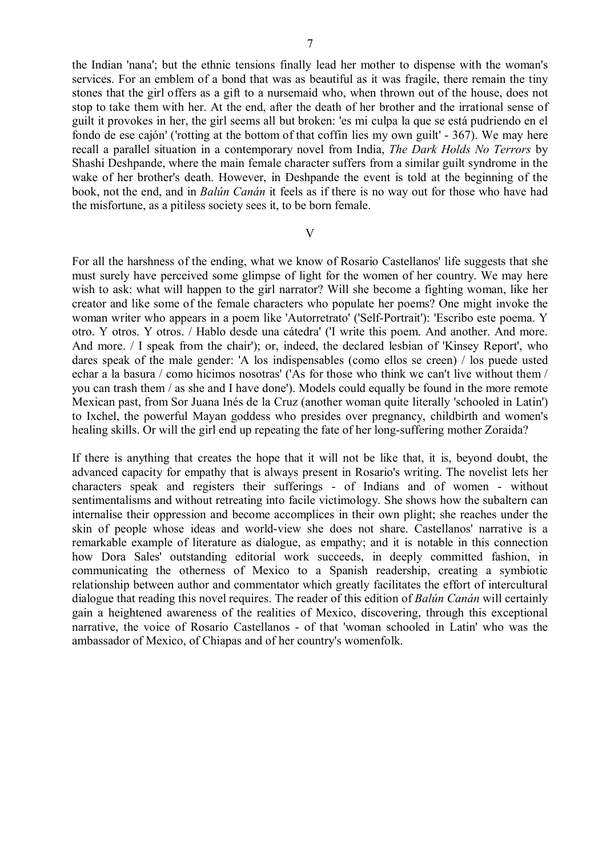the Indian 'nana'; but the ethnic tensions finally lead her mother to dispense with the woman's services. For an emblem of a bond that was as beautiful as it was fragile, there remain the tiny stones that the girl offers as a gift to a nursemaid who, when thrown out of the house, does not stop to take them with her. At the end, after the death of her brother and the irrational sense of guilt it provokes in her, the girl seems all but broken: 'es mi culpa la que se está pudriendo en el fondo de ese cajón' ('rotting at the bottom of that coffin lies my own guilt' - 367). We may here recall a parallel situation in a contemporary novel from India, *The Dark Holds No Terrors* by Shashi Deshpande, where the main female character suffers from a similar guilt syndrome in the wake of her brother's death. However, in Deshpande the event is told at the beginning of the book, not the end, and in *Balún Canán* it feels as if there is no way out for those who have had the misfortune, as a pitiless society sees it, to be born female.

#### V

For all the harshness of the ending, what we know of Rosario Castellanos' life suggests that she must surely have perceived some glimpse of light for the women of her country. We may here wish to ask: what will happen to the girl narrator? Will she become a fighting woman, like her creator and like some of the female characters who populate her poems? One might invoke the woman writer who appears in a poem like 'Autorretrato' ('Self-Portrait'): 'Escribo este poema. Y otro. Y otros. Y otros. / Hablo desde una cátedra' ('I write this poem. And another. And more. And more. / I speak from the chair'); or, indeed, the declared lesbian of 'Kinsey Report', who dares speak of the male gender: 'A los indispensables (como ellos se creen) / los puede usted echar a la basura / como hicimos nosotras' ('As for those who think we can't live without them / you can trash them / as she and I have done'). Models could equally be found in the more remote Mexican past, from Sor Juana Inés de la Cruz (another woman quite literally 'schooled in Latin') to Ixchel, the powerful Mayan goddess who presides over pregnancy, childbirth and women's healing skills. Or will the girl end up repeating the fate of her long-suffering mother Zoraida?

If there is anything that creates the hope that it will not be like that, it is, beyond doubt, the advanced capacity for empathy that is always present in Rosario's writing. The novelist lets her characters speak and registers their sufferings - of Indians and of women - without sentimentalisms and without retreating into facile victimology. She shows how the subaltern can internalise their oppression and become accomplices in their own plight; she reaches under the skin of people whose ideas and world-view she does not share. Castellanos' narrative is a remarkable example of literature as dialogue, as empathy; and it is notable in this connection how Dora Sales' outstanding editorial work succeeds, in deeply committed fashion, in communicating the otherness of Mexico to a Spanish readership, creating a symbiotic relationship between author and commentator which greatly facilitates the effort of intercultural dialogue that reading this novel requires. The reader of this edition of *Balún Canán* will certainly gain a heightened awareness of the realities of Mexico, discovering, through this exceptional narrative, the voice of Rosario Castellanos - of that 'woman schooled in Latin' who was the ambassador of Mexico, of Chiapas and of her country's womenfolk.